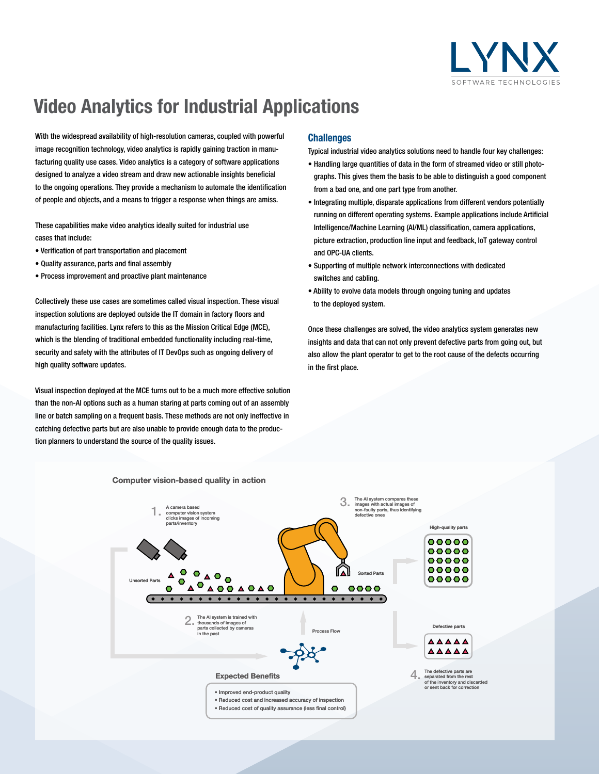

# **Video Analytics for Industrial Applications**

With the widespread availability of high-resolution cameras, coupled with powerful image recognition technology, video analytics is rapidly gaining traction in manufacturing quality use cases. Video analytics is a category of software applications designed to analyze a video stream and draw new actionable insights beneficial to the ongoing operations. They provide a mechanism to automate the identification of people and objects, and a means to trigger a response when things are amiss.

These capabilities make video analytics ideally suited for industrial use cases that include:

- Verification of part transportation and placement
- Quality assurance, parts and final assembly
- Process improvement and proactive plant maintenance

Collectively these use cases are sometimes called visual inspection. These visual inspection solutions are deployed outside the IT domain in factory floors and manufacturing facilities. Lynx refers to this as the Mission Critical Edge (MCE), which is the blending of traditional embedded functionality including real-time, security and safety with the attributes of IT DevOps such as ongoing delivery of high quality software updates.

Visual inspection deployed at the MCE turns out to be a much more effective solution than the non-AI options such as a human staring at parts coming out of an assembly line or batch sampling on a frequent basis. These methods are not only ineffective in catching defective parts but are also unable to provide enough data to the production planners to understand the source of the quality issues.

# **Challenges**

Typical industrial video analytics solutions need to handle four key challenges:

- Handling large quantities of data in the form of streamed video or still photographs. This gives them the basis to be able to distinguish a good component from a bad one, and one part type from another.
- Integrating multiple, disparate applications from different vendors potentially running on different operating systems. Example applications include Artificial Intelligence/Machine Learning (AI/ML) classification, camera applications, picture extraction, production line input and feedback, IoT gateway control and OPC-UA clients.
- Supporting of multiple network interconnections with dedicated switches and cabling.
- Ability to evolve data models through ongoing tuning and updates to the deployed system.

Once these challenges are solved, the video analytics system generates new insights and data that can not only prevent defective parts from going out, but also allow the plant operator to get to the root cause of the defects occurring in the first place.



#### **Computer vision-based quality in action**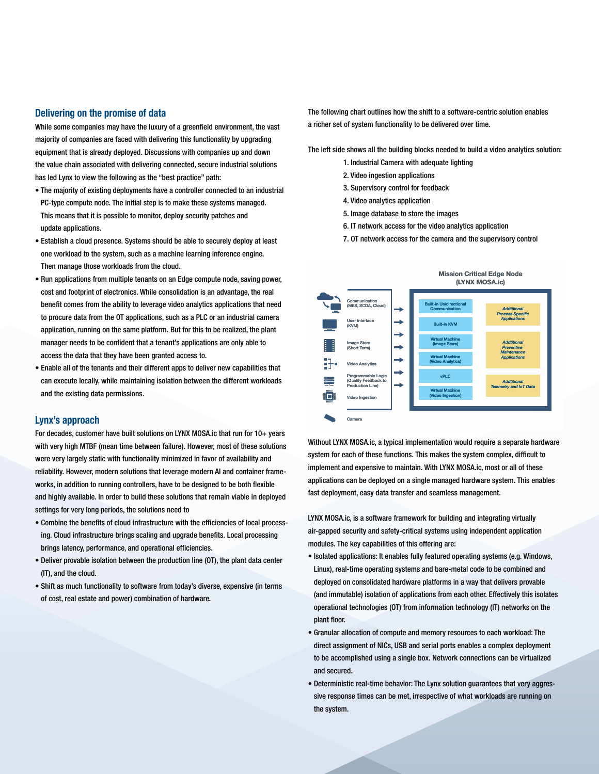## **Delivering on the promise of data**

While some companies may have the luxury of a greenfield environment, the vast majority of companies are faced with delivering this functionality by upgrading equipment that is already deployed. Discussions with companies up and down the value chain associated with delivering connected, secure industrial solutions has led Lynx to view the following as the "best practice" path:

- The majority of existing deployments have a controller connected to an industrial PC-type compute node. The initial step is to make these systems managed. This means that it is possible to monitor, deploy security patches and update applications.
- Establish a cloud presence. Systems should be able to securely deploy at least one workload to the system, such as a machine learning inference engine. Then manage those workloads from the cloud.
- Run applications from multiple tenants on an Edge compute node, saving power, cost and footprint of electronics. While consolidation is an advantage, the real benefit comes from the ability to leverage video analytics applications that need to procure data from the OT applications, such as a PLC or an industrial camera application, running on the same platform. But for this to be realized, the plant manager needs to be confident that a tenant's applications are only able to access the data that they have been granted access to.
- Enable all of the tenants and their different apps to deliver new capabilities that can execute locally, while maintaining isolation between the different workloads and the existing data permissions.

#### **Lynx's approach**

For decades, customer have built solutions on LYNX MOSA.ic that run for 10+ years with very high MTBF (mean time between failure). However, most of these solutions were very largely static with functionality minimized in favor of availability and reliability. However, modern solutions that leverage modern AI and container frameworks, in addition to running controllers, have to be designed to be both flexible and highly available. In order to build these solutions that remain viable in deployed settings for very long periods, the solutions need to

- Combine the benefits of cloud infrastructure with the efficiencies of local processing. Cloud infrastructure brings scaling and upgrade benefits. Local processing brings latency, performance, and operational efficiencies.
- Deliver provable isolation between the production line (OT), the plant data center (IT), and the cloud.
- Shift as much functionality to software from today's diverse, expensive (in terms of cost, real estate and power) combination of hardware.

The following chart outlines how the shift to a software-centric solution enables a richer set of system functionality to be delivered over time.

The left side shows all the building blocks needed to build a video analytics solution:

- 1. Industrial Camera with adequate lighting
- 2. Video ingestion applications
- 3. Supervisory control for feedback
- 4. Video analytics application
- 5. Image database to store the images
- 6. IT network access for the video analytics application
- 7. OT network access for the camera and the supervisory control



Without LYNX MOSA.ic, a typical implementation would require a separate hardware system for each of these functions. This makes the system complex, difficult to implement and expensive to maintain. With LYNX MOSA.ic, most or all of these applications can be deployed on a single managed hardware system. This enables fast deployment, easy data transfer and seamless management.

LYNX MOSA.ic, is a software framework for building and integrating virtually air-gapped security and safety-critical systems using independent application modules. The key capabilities of this offering are:

- Isolated applications: It enables fully featured operating systems (e.g. Windows, Linux), real-time operating systems and bare-metal code to be combined and deployed on consolidated hardware platforms in a way that delivers provable (and immutable) isolation of applications from each other. Effectively this isolates operational technologies (OT) from information technology (IT) networks on the plant floor.
- Granular allocation of compute and memory resources to each workload: The direct assignment of NICs, USB and serial ports enables a complex deployment to be accomplished using a single box. Network connections can be virtualized and secured.
- Deterministic real-time behavior: The Lynx solution guarantees that very aggressive response times can be met, irrespective of what workloads are running on the system.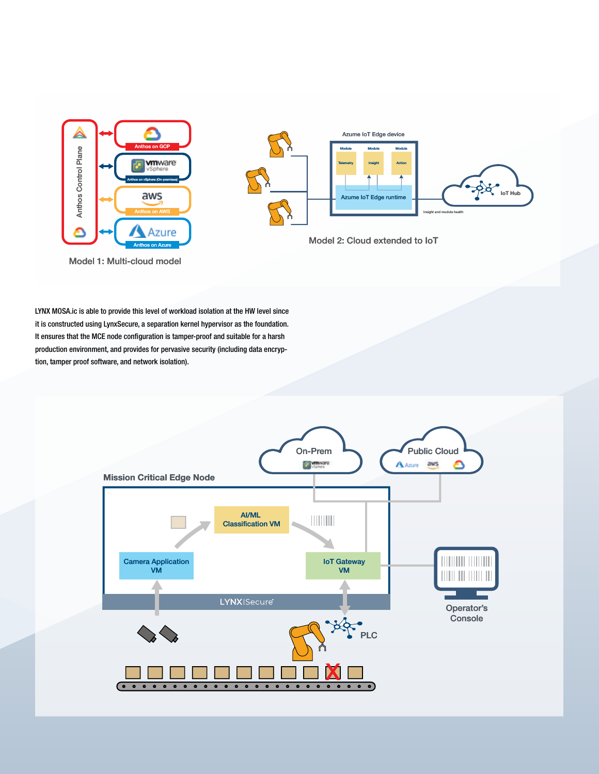

Model 1: Multi-cloud model



Model 2: Cloud extended to IoT

LYNX MOSA.ic is able to provide this level of workload isolation at the HW level since it is constructed using LynxSecure, a separation kernel hypervisor as the foundation. It ensures that the MCE node configuration is tamper-proof and suitable for a harsh production environment, and provides for pervasive security (including data encryption, tamper proof software, and network isolation).